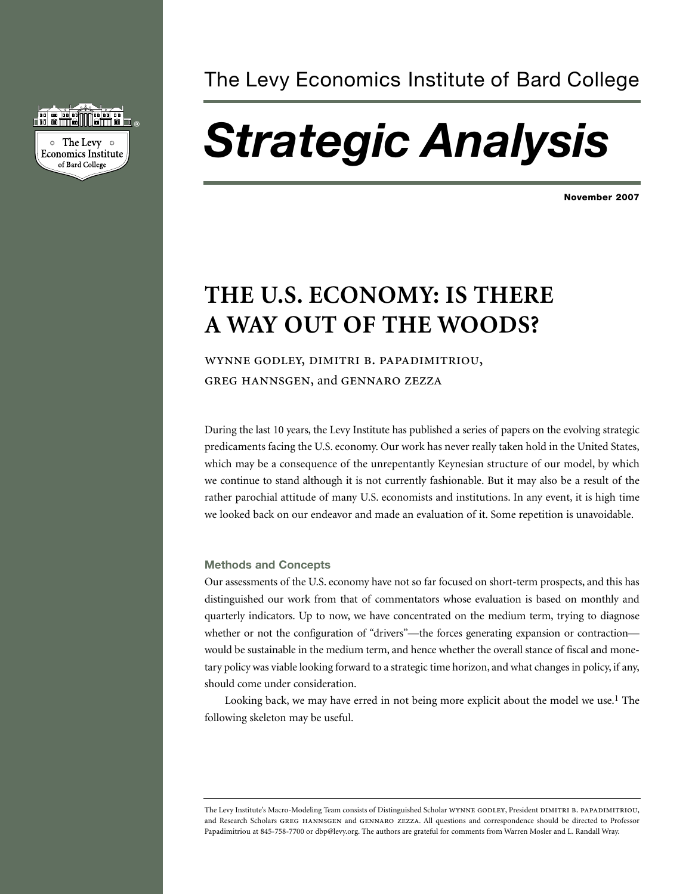

### The Levy Economics Institute of Bard College

# *Strategic Analysis*

**November 2007**

## **THE U.S. ECONOMY: IS THERE A WAY OUT OF THE WOODS?**

WYNNE GODLEY, DIMITRI B. PAPADIMITRIOU, GREG HANNSGEN, and GENNARO ZEZZA

During the last 10 years, the Levy Institute has published a series of papers on the evolving strategic predicaments facing the U.S. economy. Our work has never really taken hold in the United States, which may be a consequence of the unrepentantly Keynesian structure of our model, by which we continue to stand although it is not currently fashionable. But it may also be a result of the rather parochial attitude of many U.S. economists and institutions. In any event, it is high time we looked back on our endeavor and made an evaluation of it. Some repetition is unavoidable.

#### **Methods and Concepts**

Our assessments of the U.S. economy have not so far focused on short-term prospects, and this has distinguished our work from that of commentators whose evaluation is based on monthly and quarterly indicators. Up to now, we have concentrated on the medium term, trying to diagnose whether or not the configuration of "drivers"—the forces generating expansion or contraction would be sustainable in the medium term, and hence whether the overall stance of fiscal and monetary policy was viable looking forward to a strategic time horizon, and what changes in policy, if any, should come under consideration.

Looking back, we may have erred in not being more explicit about the model we use.<sup>1</sup> The following skeleton may be useful.

The Levy Institute's Macro-Modeling Team consists of Distinguished Scholar WYNNE GODLEY, President DIMITRI B. PAPADIMITRIOU, and Research Scholars GREG HANNSGEN and GENNARO ZEZZA. All questions and correspondence should be directed to Professor Papadimitriou at 845-758-7700 or dbp@levy.org. The authors are grateful for comments from Warren Mosler and L. Randall Wray.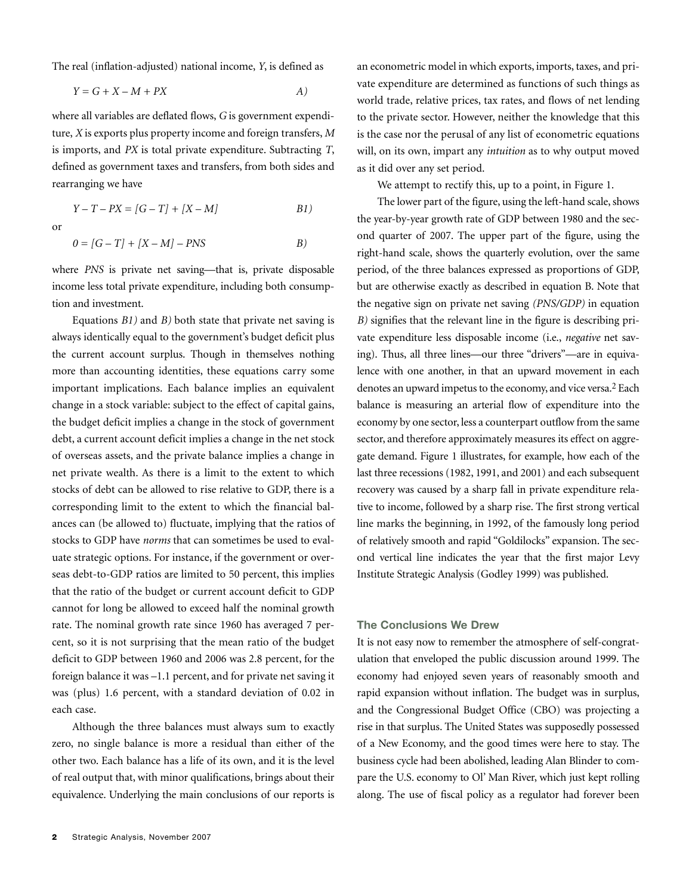The real (inflation-adjusted) national income, *Y*, is defined as

$$
Y = G + X - M + PX
$$

where all variables are deflated flows, *G* is government expenditure, *X* is exports plus property income and foreign transfers, *M* is imports, and *PX* is total private expenditure. Subtracting *T*, defined as government taxes and transfers, from both sides and rearranging we have

or

$$
0 = [G - T] + [X - M] - PNS
$$
 B)

*Y – T – PX = [G – T] + [X – M] B1)*

where *PNS* is private net saving—that is, private disposable income less total private expenditure, including both consumption and investment.

Equations *B1)* and *B)* both state that private net saving is always identically equal to the government's budget deficit plus the current account surplus. Though in themselves nothing more than accounting identities, these equations carry some important implications. Each balance implies an equivalent change in a stock variable: subject to the effect of capital gains, the budget deficit implies a change in the stock of government debt, a current account deficit implies a change in the net stock of overseas assets, and the private balance implies a change in net private wealth. As there is a limit to the extent to which stocks of debt can be allowed to rise relative to GDP, there is a corresponding limit to the extent to which the financial balances can (be allowed to) fluctuate, implying that the ratios of stocks to GDP have *norms* that can sometimes be used to evaluate strategic options. For instance, if the government or overseas debt-to-GDP ratios are limited to 50 percent, this implies that the ratio of the budget or current account deficit to GDP cannot for long be allowed to exceed half the nominal growth rate. The nominal growth rate since 1960 has averaged 7 percent, so it is not surprising that the mean ratio of the budget deficit to GDP between 1960 and 2006 was 2.8 percent, for the foreign balance it was –1.1 percent, and for private net saving it was (plus) 1.6 percent, with a standard deviation of 0.02 in each case.

Although the three balances must always sum to exactly zero, no single balance is more a residual than either of the other two. Each balance has a life of its own, and it is the level of real output that, with minor qualifications, brings about their equivalence. Underlying the main conclusions of our reports is an econometric model in which exports, imports, taxes, and private expenditure are determined as functions of such things as world trade, relative prices, tax rates, and flows of net lending to the private sector. However, neither the knowledge that this is the case nor the perusal of any list of econometric equations will, on its own, impart any *intuition* as to why output moved as it did over any set period.

We attempt to rectify this, up to a point, in Figure 1.

The lower part of the figure, using the left-hand scale, shows the year-by-year growth rate of GDP between 1980 and the second quarter of 2007. The upper part of the figure, using the right-hand scale, shows the quarterly evolution, over the same period, of the three balances expressed as proportions of GDP, but are otherwise exactly as described in equation B. Note that the negative sign on private net saving *(PNS/GDP)* in equation *B)* signifies that the relevant line in the figure is describing private expenditure less disposable income (i.e., *negative* net saving). Thus, all three lines—our three "drivers"—are in equivalence with one another, in that an upward movement in each denotes an upward impetus to the economy, and vice versa.<sup>2</sup> Each balance is measuring an arterial flow of expenditure into the economy by one sector, less a counterpart outflow from the same sector, and therefore approximately measures its effect on aggregate demand. Figure 1 illustrates, for example, how each of the last three recessions (1982, 1991, and 2001) and each subsequent recovery was caused by a sharp fall in private expenditure relative to income, followed by a sharp rise. The first strong vertical line marks the beginning, in 1992, of the famously long period of relatively smooth and rapid "Goldilocks" expansion. The second vertical line indicates the year that the first major Levy Institute Strategic Analysis (Godley 1999) was published.

#### **The Conclusions We Drew**

It is not easy now to remember the atmosphere of self-congratulation that enveloped the public discussion around 1999. The economy had enjoyed seven years of reasonably smooth and rapid expansion without inflation. The budget was in surplus, and the Congressional Budget Office (CBO) was projecting a rise in that surplus. The United States was supposedly possessed of a New Economy, and the good times were here to stay. The business cycle had been abolished, leading Alan Blinder to compare the U.S. economy to Ol' Man River, which just kept rolling along. The use of fiscal policy as a regulator had forever been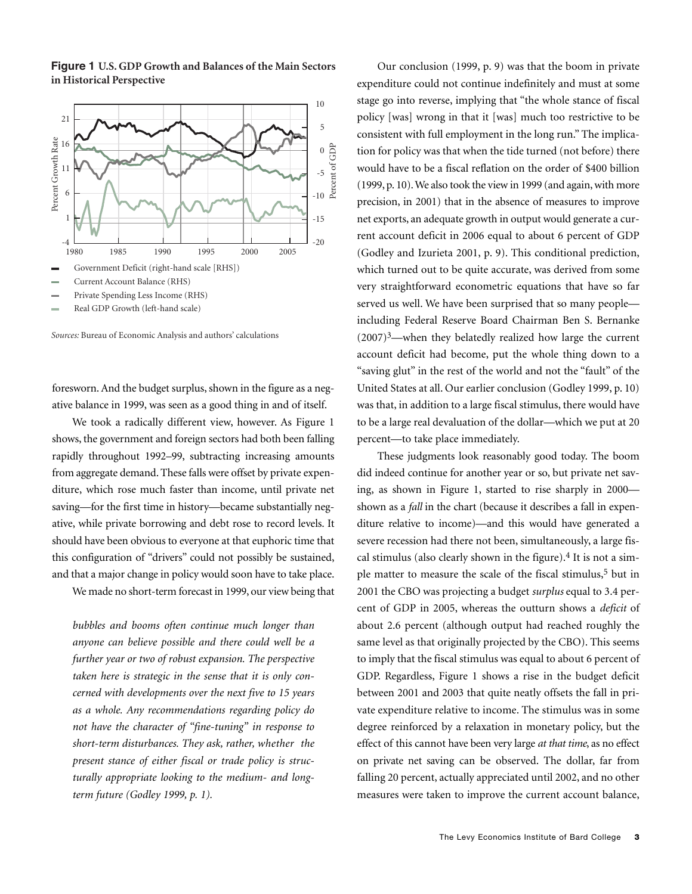**Figure 1 U.S. GDP Growth and Balances of the Main Sectors in Historical Perspective**



Real GDP Growth (left-hand scale)

*Sources:* Bureau of Economic Analysis and authors' calculations

foresworn. And the budget surplus, shown in the figure as a negative balance in 1999, was seen as a good thing in and of itself.

We took a radically different view, however. As Figure 1 shows, the government and foreign sectors had both been falling rapidly throughout 1992–99, subtracting increasing amounts from aggregate demand. These falls were offset by private expenditure, which rose much faster than income, until private net saving—for the first time in history—became substantially negative, while private borrowing and debt rose to record levels. It should have been obvious to everyone at that euphoric time that this configuration of "drivers" could not possibly be sustained, and that a major change in policy would soon have to take place.

We made no short-term forecast in 1999, our view being that

*bubbles and booms often continue much longer than anyone can believe possible and there could well be a further year or two of robust expansion. The perspective taken here is strategic in the sense that it is only concerned with developments over the next five to 15 years as a whole. Any recommendations regarding policy do not have the character of "fine-tuning" in response to short-term disturbances. They ask, rather, whether the present stance of either fiscal or trade policy is structurally appropriate looking to the medium- and longterm future (Godley 1999, p. 1).*

Our conclusion (1999, p. 9) was that the boom in private expenditure could not continue indefinitely and must at some stage go into reverse, implying that "the whole stance of fiscal policy [was] wrong in that it [was] much too restrictive to be consistent with full employment in the long run." The implication for policy was that when the tide turned (not before) there would have to be a fiscal reflation on the order of \$400 billion (1999, p. 10). We also took the view in 1999 (and again, with more precision, in 2001) that in the absence of measures to improve net exports, an adequate growth in output would generate a current account deficit in 2006 equal to about 6 percent of GDP (Godley and Izurieta 2001, p. 9). This conditional prediction, which turned out to be quite accurate, was derived from some very straightforward econometric equations that have so far served us well. We have been surprised that so many people including Federal Reserve Board Chairman Ben S. Bernanke  $(2007)^3$ —when they belatedly realized how large the current account deficit had become, put the whole thing down to a "saving glut" in the rest of the world and not the "fault" of the United States at all. Our earlier conclusion (Godley 1999, p. 10) was that, in addition to a large fiscal stimulus, there would have to be a large real devaluation of the dollar—which we put at 20 percent—to take place immediately.

These judgments look reasonably good today. The boom did indeed continue for another year or so, but private net saving, as shown in Figure 1, started to rise sharply in 2000 shown as a *fall* in the chart (because it describes a fall in expenditure relative to income)—and this would have generated a severe recession had there not been, simultaneously, a large fiscal stimulus (also clearly shown in the figure). 4 It is not a simple matter to measure the scale of the fiscal stimulus, 5 but in 2001 the CBO was projecting a budget *surplus* equal to 3.4 percent of GDP in 2005, whereas the outturn shows a *deficit* of about 2.6 percent (although output had reached roughly the same level as that originally projected by the CBO). This seems to imply that the fiscal stimulus was equal to about 6 percent of GDP. Regardless, Figure 1 shows a rise in the budget deficit between 2001 and 2003 that quite neatly offsets the fall in private expenditure relative to income. The stimulus was in some degree reinforced by a relaxation in monetary policy, but the effect of this cannot have been very large *at that time*, as no effect on private net saving can be observed. The dollar, far from falling 20 percent, actually appreciated until 2002, and no other measures were taken to improve the current account balance,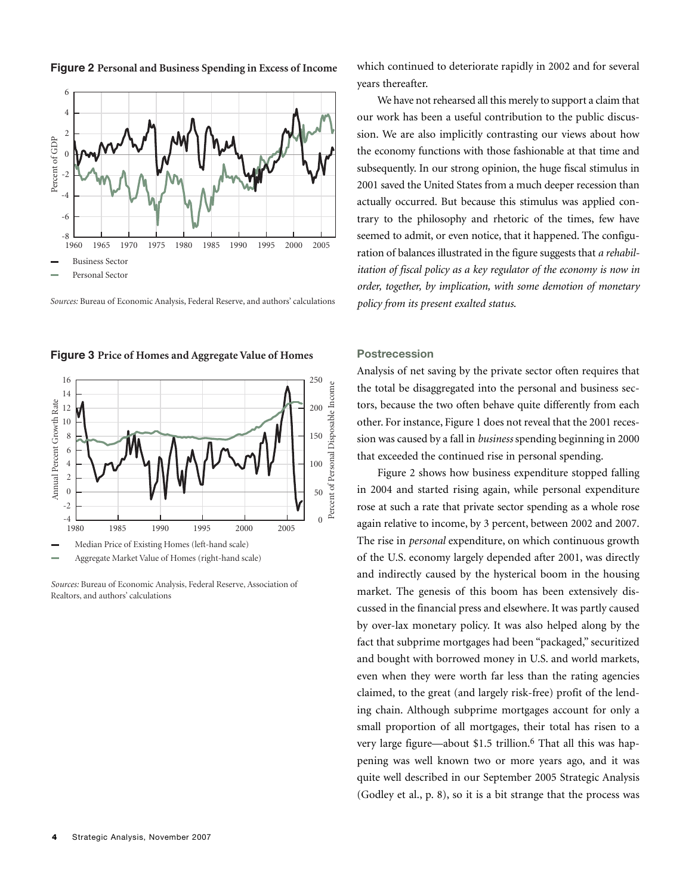

**Figure 2 Personal and Business Spending in Excess of Income**

*Sources:* Bureau of Economic Analysis, Federal Reserve, and authors' calculations

**Figure 3** Price of Homes and Aggregate Value of Homes



*Sources:* Bureau of Economic Analysis, Federal Reserve, Association of Realtors, and authors' calculations

which continued to deteriorate rapidly in 2002 and for several years thereafter.

We have not rehearsed all this merely to support a claim that our work has been a useful contribution to the public discussion. We are also implicitly contrasting our views about how the economy functions with those fashionable at that time and subsequently. In our strong opinion, the huge fiscal stimulus in 2001 saved the United States from a much deeper recession than actually occurred. But because this stimulus was applied contrary to the philosophy and rhetoric of the times, few have seemed to admit, or even notice, that it happened. The configuration of balances illustrated in the figure suggests that *a rehabilitation of fiscal policy as a key regulator of the economy is now in order, together, by implication, with some demotion of monetary policy from its present exalted status*.

#### **Postrecession**

Analysis of net saving by the private sector often requires that the total be disaggregated into the personal and business sectors, because the two often behave quite differently from each other. For instance, Figure 1 does not reveal that the 2001 recession was caused by a fall in *business* spending beginning in 2000 that exceeded the continued rise in personal spending.

Figure 2 shows how business expenditure stopped falling in 2004 and started rising again, while personal expenditure rose at such a rate that private sector spending as a whole rose again relative to income, by 3 percent, between 2002 and 2007. The rise in *personal* expenditure, on which continuous growth of the U.S. economy largely depended after 2001, was directly and indirectly caused by the hysterical boom in the housing market. The genesis of this boom has been extensively discussed in the financial press and elsewhere. It was partly caused by over-lax monetary policy. It was also helped along by the fact that subprime mortgages had been "packaged," securitized and bought with borrowed money in U.S. and world markets, even when they were worth far less than the rating agencies claimed, to the great (and largely risk-free) profit of the lending chain. Although subprime mortgages account for only a small proportion of all mortgages, their total has risen to a very large figure—about \$1.5 trillion. 6 That all this was happening was well known two or more years ago, and it was quite well described in our September 2005 Strategic Analysis (Godley et al., p. 8), so it is a bit strange that the process was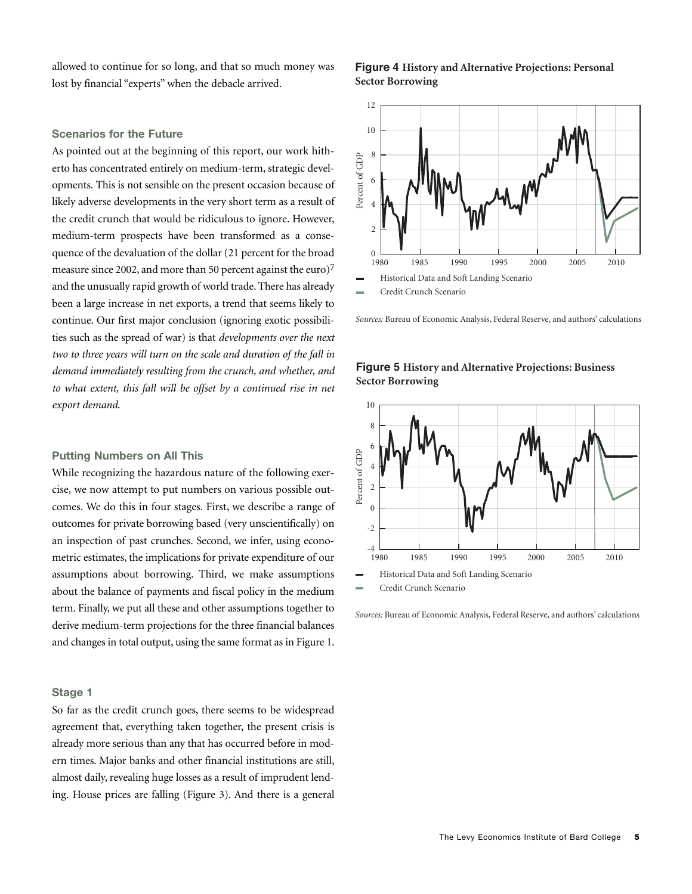allowed to continue for so long, and that so much money was lost by financial "experts" when the debacle arrived.

#### **Figure 4 History and Alternative Projections: Personal Sector Borrowing**

#### **Scenarios for the Future**

As pointed out at the beginning of this report, our work hitherto has concentrated entirely on medium-term, strategic developments. This is not sensible on the present occasion because of likely adverse developments in the very short term as a result of the credit crunch that would be ridiculous to ignore. However, medium-term prospects have been transformed as a consequence of the devaluation of the dollar (21 percent for the broad measure since 2002, and more than 50 percent against the euro)<sup>7</sup> and the unusually rapid growth of world trade.There has already been a large increase in net exports, a trend that seems likely to continue. Our first major conclusion (ignoring exotic possibilities such as the spread of war) is that *developments over the next two to three years will turn on the scale and duration of the fall in demand immediately resulting from the crunch, and whether, and to what extent, this fall will be offset by a continued rise in net export demand*.

#### **Putting Numbers on All This**

While recognizing the hazardous nature of the following exercise, we now attempt to put numbers on various possible outcomes. We do this in four stages. First, we describe a range of outcomes for private borrowing based (very unscientifically) on an inspection of past crunches. Second, we infer, using econometric estimates, the implications for private expenditure of our assumptions about borrowing. Third, we make assumptions about the balance of payments and fiscal policy in the medium term. Finally, we put all these and other assumptions together to derive medium-term projections for the three financial balances and changes in total output, using the same format as in Figure 1.

#### **Stage 1**

So far as the credit crunch goes, there seems to be widespread agreement that, everything taken together, the present crisis is already more serious than any that has occurred before in modern times. Major banks and other financial institutions are still, almost daily, revealing huge losses as a result of imprudent lending. House prices are falling (Figure 3). And there is a general



*Sources:* Bureau of Economic Analysis, Federal Reserve, and authors' calculations

#### **Figure 5 History and Alternative Projections: Business Sector Borrowing**



*Sources:* Bureau of Economic Analysis, Federal Reserve, and authors' calculations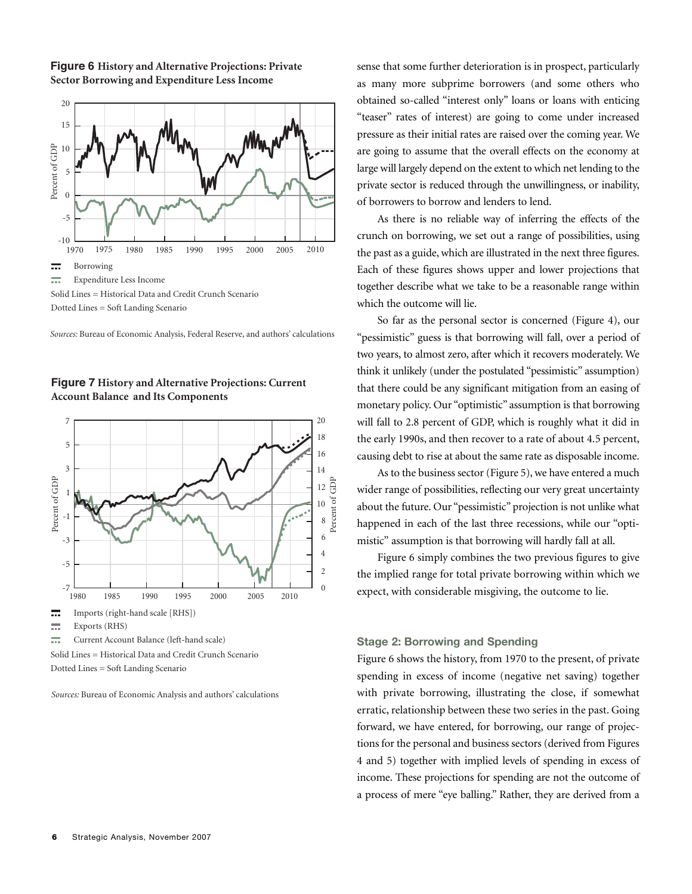

**Figure 6 History and Alternative Projections: Private Sector Borrowing and Expenditure Less Income**

*Sources:* Bureau of Economic Analysis, Federal Reserve, and authors' calculations



**Figure 7 History and Alternative Projections: Current Account Balance and Its Components**

Dotted Lines = Soft Landing Scenario

*Sources:* Bureau of Economic Analysis and authors' calculations

sense that some further deterioration is in prospect, particularly as many more subprime borrowers (and some others who obtained so-called "interest only" loans or loans with enticing "teaser" rates of interest) are going to come under increased pressure as their initial rates are raised over the coming year. We are going to assume that the overall effects on the economy at large will largely depend on the extent to which net lending to the private sector is reduced through the unwillingness, or inability, of borrowers to borrow and lenders to lend.

As there is no reliable way of inferring the effects of the crunch on borrowing, we set out a range of possibilities, using the past as a guide, which are illustrated in the next three figures. Each of these figures shows upper and lower projections that together describe what we take to be a reasonable range within which the outcome will lie.

So far as the personal sector is concerned (Figure 4), our "pessimistic" guess is that borrowing will fall, over a period of two years, to almost zero, after which it recovers moderately. We think it unlikely (under the postulated "pessimistic" assumption) that there could be any significant mitigation from an easing of monetary policy. Our "optimistic" assumption is that borrowing will fall to 2.8 percent of GDP, which is roughly what it did in the early 1990s, and then recover to a rate of about 4.5 percent, causing debt to rise at about the same rate as disposable income.

As to the business sector (Figure 5), we have entered a much wider range of possibilities, reflecting our very great uncertainty about the future. Our "pessimistic" projection is not unlike what happened in each of the last three recessions, while our "optimistic" assumption is that borrowing will hardly fall at all.

Figure 6 simply combines the two previous figures to give the implied range for total private borrowing within which we expect, with considerable misgiving, the outcome to lie.

#### **Stage 2: Borrowing and Spending**

Figure 6 shows the history, from 1970 to the present, of private spending in excess of income (negative net saving) together with private borrowing, illustrating the close, if somewhat erratic, relationship between these two series in the past. Going forward, we have entered, for borrowing, our range of projections for the personal and business sectors (derived from Figures 4 and 5) together with implied levels of spending in excess of income. These projections for spending are not the outcome of a process of mere "eye balling." Rather, they are derived from a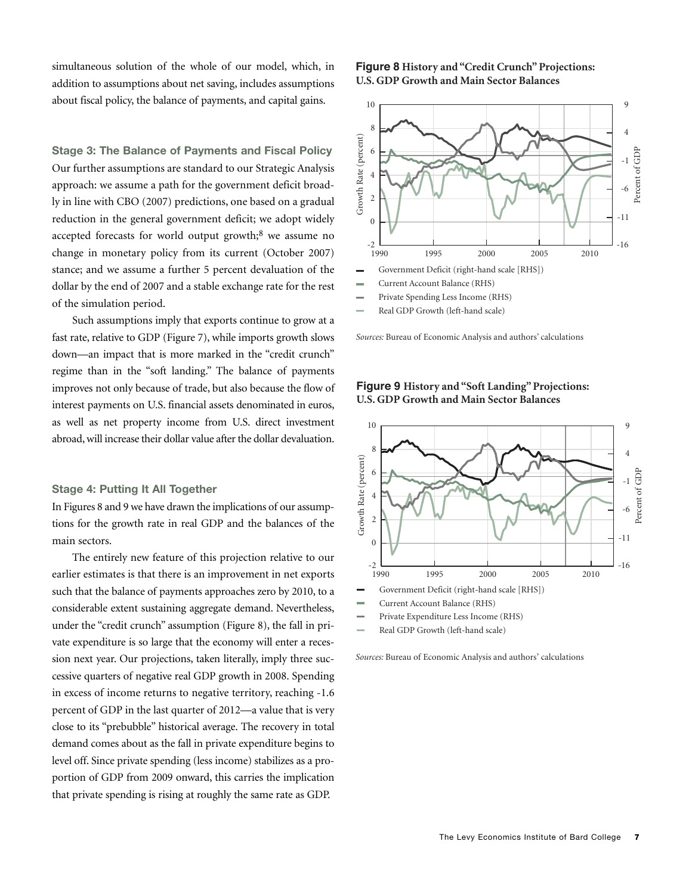simultaneous solution of the whole of our model, which, in addition to assumptions about net saving, includes assumptions about fiscal policy, the balance of payments, and capital gains.

**Stage 3: The Balance of Payments and Fiscal Policy** Our further assumptions are standard to our Strategic Analysis approach: we assume a path for the government deficit broadly in line with CBO (2007) predictions, one based on a gradual reduction in the general government deficit; we adopt widely accepted forecasts for world output growth;<sup>8</sup> we assume no change in monetary policy from its current (October 2007) stance; and we assume a further 5 percent devaluation of the dollar by the end of 2007 and a stable exchange rate for the rest of the simulation period.

Such assumptions imply that exports continue to grow at a fast rate, relative to GDP (Figure 7), while imports growth slows down—an impact that is more marked in the "credit crunch" regime than in the "soft landing." The balance of payments improves not only because of trade, but also because the flow of interest payments on U.S. financial assets denominated in euros, as well as net property income from U.S. direct investment abroad, will increase their dollar value after the dollar devaluation.

#### **Stage 4: Putting It All Together**

In Figures 8 and 9 we have drawn the implications of our assumptions for the growth rate in real GDP and the balances of the main sectors.

The entirely new feature of this projection relative to our earlier estimates is that there is an improvement in net exports such that the balance of payments approaches zero by 2010, to a considerable extent sustaining aggregate demand. Nevertheless, under the "credit crunch" assumption (Figure 8), the fall in private expenditure is so large that the economy will enter a recession next year. Our projections, taken literally, imply three successive quarters of negative real GDP growth in 2008. Spending in excess of income returns to negative territory, reaching -1.6 percent of GDP in the last quarter of 2012—a value that is very close to its "prebubble" historical average. The recovery in total demand comes about as the fall in private expenditure begins to level off. Since private spending (less income) stabilizes as a proportion of GDP from 2009 onward, this carries the implication that private spending is rising at roughly the same rate as GDP.

#### **Figure 8 History and "Credit Crunch"Projections: U.S. GDP Growth and Main Sector Balances**



Real GDP Growth (left-hand scale)

*Sources:* Bureau of Economic Analysis and authors' calculations



**Figure 9 History and "Soft Landing"Projections: U.S. GDP Growth and Main Sector Balances**

- Current Account Balance (RHS)
- Private Expenditure Less Income (RHS)
- Real GDP Growth (left-hand scale)

*Sources:* Bureau of Economic Analysis and authors' calculations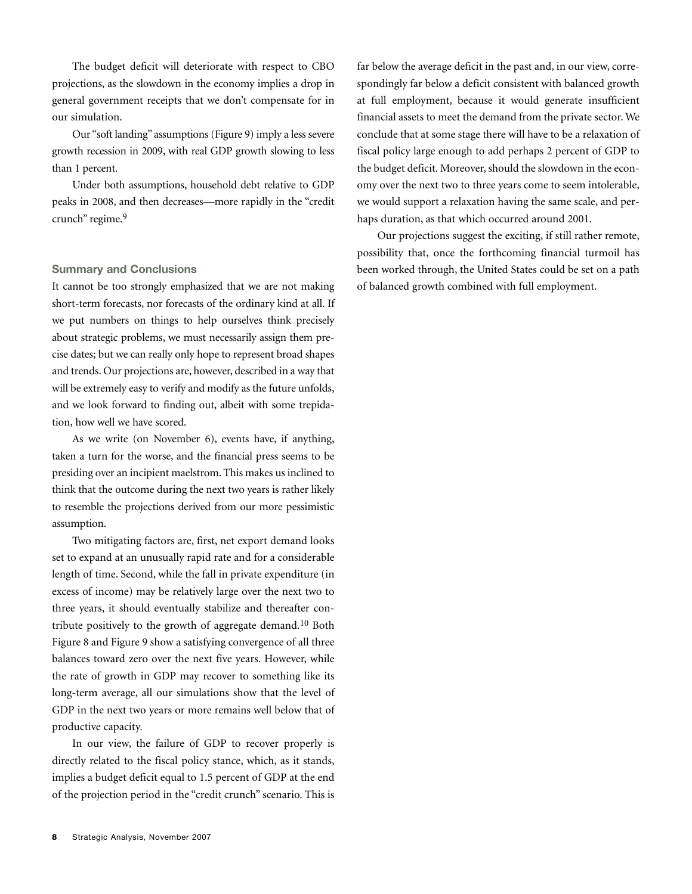The budget deficit will deteriorate with respect to CBO projections, as the slowdown in the economy implies a drop in general government receipts that we don't compensate for in our simulation.

Our "soft landing" assumptions (Figure 9) imply a less severe growth recession in 2009, with real GDP growth slowing to less than 1 percent.

Under both assumptions, household debt relative to GDP peaks in 2008, and then decreases—more rapidly in the "credit crunch" regime. 9

#### **Summary and Conclusions**

It cannot be too strongly emphasized that we are not making short-term forecasts, nor forecasts of the ordinary kind at all. If we put numbers on things to help ourselves think precisely about strategic problems, we must necessarily assign them precise dates; but we can really only hope to represent broad shapes and trends. Our projections are, however, described in a way that will be extremely easy to verify and modify as the future unfolds, and we look forward to finding out, albeit with some trepidation, how well we have scored.

As we write (on November 6), events have, if anything, taken a turn for the worse, and the financial press seems to be presiding over an incipient maelstrom. This makes us inclined to think that the outcome during the next two years is rather likely to resemble the projections derived from our more pessimistic assumption.

Two mitigating factors are, first, net export demand looks set to expand at an unusually rapid rate and for a considerable length of time. Second, while the fall in private expenditure (in excess of income) may be relatively large over the next two to three years, it should eventually stabilize and thereafter contribute positively to the growth of aggregate demand. 10 Both Figure 8 and Figure 9 show a satisfying convergence of all three balances toward zero over the next five years. However, while the rate of growth in GDP may recover to something like its long-term average, all our simulations show that the level of GDP in the next two years or more remains well below that of productive capacity.

In our view, the failure of GDP to recover properly is directly related to the fiscal policy stance, which, as it stands, implies a budget deficit equal to 1.5 percent of GDP at the end of the projection period in the "credit crunch" scenario. This is far below the average deficit in the past and, in our view, correspondingly far below a deficit consistent with balanced growth at full employment, because it would generate insufficient financial assets to meet the demand from the private sector. We conclude that at some stage there will have to be a relaxation of fiscal policy large enough to add perhaps 2 percent of GDP to the budget deficit. Moreover, should the slowdown in the economy over the next two to three years come to seem intolerable, we would support a relaxation having the same scale, and perhaps duration, as that which occurred around 2001.

Our projections suggest the exciting, if still rather remote, possibility that, once the forthcoming financial turmoil has been worked through, the United States could be set on a path of balanced growth combined with full employment.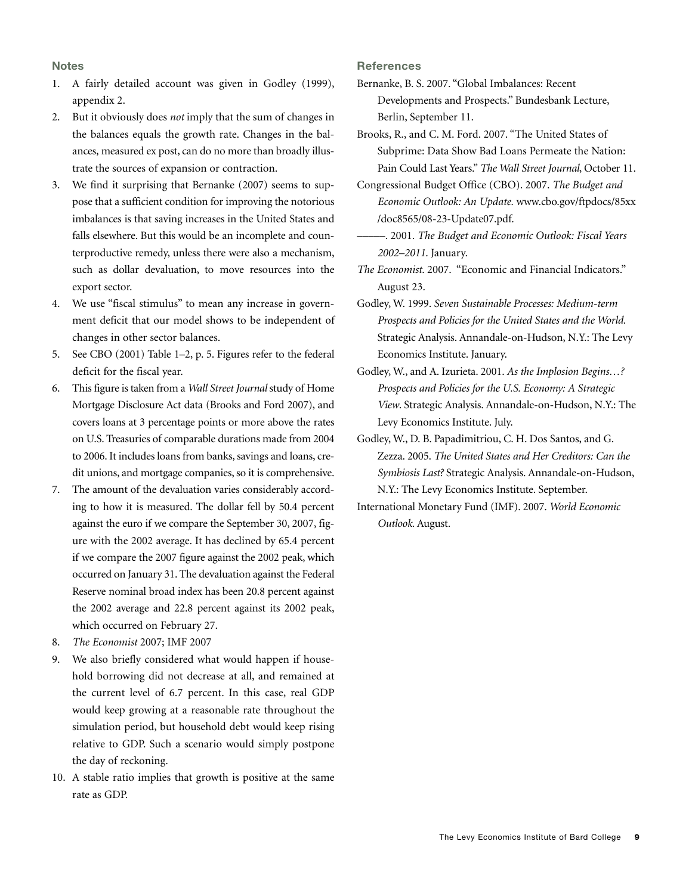#### **Notes**

- 1. A fairly detailed account was given in Godley (1999), appendix 2.
- 2. But it obviously does *not* imply that the sum of changes in the balances equals the growth rate. Changes in the balances, measured ex post, can do no more than broadly illustrate the sources of expansion or contraction.
- 3. We find it surprising that Bernanke (2007) seems to suppose that a sufficient condition for improving the notorious imbalances is that saving increases in the United States and falls elsewhere. But this would be an incomplete and counterproductive remedy, unless there were also a mechanism, such as dollar devaluation, to move resources into the export sector.
- 4. We use "fiscal stimulus" to mean any increase in government deficit that our model shows to be independent of changes in other sector balances.
- 5. See CBO (2001) Table 1–2, p. 5. Figures refer to the federal deficit for the fiscal year.
- 6. This figure is taken from a *Wall Street Journal* study of Home Mortgage Disclosure Act data (Brooks and Ford 2007), and covers loans at 3 percentage points or more above the rates on U.S. Treasuries of comparable durations made from 2004 to 2006. It includes loans from banks, savings and loans, credit unions, and mortgage companies, so it is comprehensive.
- 7. The amount of the devaluation varies considerably according to how it is measured. The dollar fell by 50.4 percent against the euro if we compare the September 30, 2007, figure with the 2002 average. It has declined by 65.4 percent if we compare the 2007 figure against the 2002 peak, which occurred on January 31. The devaluation against the Federal Reserve nominal broad index has been 20.8 percent against the 2002 average and 22.8 percent against its 2002 peak, which occurred on February 27.
- 8. *The Economist* 2007; IMF 2007
- 9. We also briefly considered what would happen if household borrowing did not decrease at all, and remained at the current level of 6.7 percent. In this case, real GDP would keep growing at a reasonable rate throughout the simulation period, but household debt would keep rising relative to GDP. Such a scenario would simply postpone the day of reckoning.
- 10. A stable ratio implies that growth is positive at the same rate as GDP.

#### **References**

Bernanke, B. S. 2007. "Global Imbalances: Recent Developments and Prospects." Bundesbank Lecture, Berlin, September 11.

Brooks, R., and C. M. Ford. 2007. "The United States of Subprime: Data Show Bad Loans Permeate the Nation: Pain Could Last Years." *The Wall Street Journal*, October 11.

- Congressional Budget Office (CBO). 2007. *The Budget and Economic Outlook: An Update.* www.cbo.gov/ftpdocs/85xx /doc8565/08-23-Update07.pdf.
	- –––––. 2001. *The Budget and Economic Outlook: Fiscal Years 2002–2011*. January.
- *The Economist*. 2007. "Economic and Financial Indicators." August 23.
- Godley, W. 1999. *Seven Sustainable Processes: Medium-term Prospects and Policies for the United States and the World.* Strategic Analysis. Annandale-on-Hudson, N.Y.: The Levy Economics Institute. January.
- Godley, W., and A. Izurieta. 2001. *As the Implosion Begins…? Prospects and Policies for the U.S. Economy: A Strategic View*. Strategic Analysis. Annandale-on-Hudson, N.Y.: The Levy Economics Institute. July.
- Godley, W., D. B. Papadimitriou, C. H. Dos Santos, and G. Zezza. 2005. *The United States and Her Creditors: Can the Symbiosis Last?* Strategic Analysis. Annandale-on-Hudson, N.Y.: The Levy Economics Institute. September.
- International Monetary Fund (IMF). 2007. *World Economic Outlook*. August.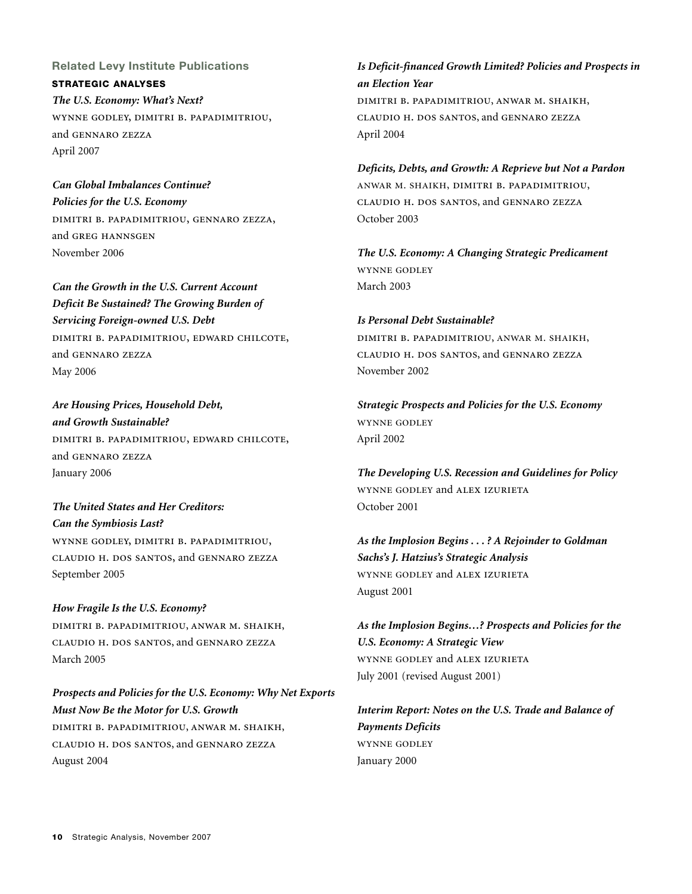**Related Levy Institute Publications STRATEGIC ANALYSES** *The U.S. Economy: What's Next?* WYNNE GODLEY, DIMITRI B. PAPADIMITRIOU, and GENNARO ZEZZA April 2007

*Can Global Imbalances Continue? Policies for the U.S. Economy* DIMITRI B. PAPADIMITRIOU, GENNARO ZEZZA, and GREG HANNSGEN November 2006

*Can the Growth in the U.S. Current Account Deficit Be Sustained? The Growing Burden of Servicing Foreign-owned U.S. Debt* DIMITRI B. PAPADIMITRIOU, EDWARD CHILCOTE, and GENNARO ZEZZA May 2006

*Are Housing Prices, Household Debt, and Growth Sustainable?* DIMITRI B. PAPADIMITRIOU, EDWARD CHILCOTE, and GENNARO ZEZZA January 2006

*The United States and Her Creditors: Can the Symbiosis Last?* WYNNE GODLEY, DIMITRI B. PAPADIMITRIOU, CLAUDIO H. DOS SANTOS, and GENNARO ZEZZA September 2005

*How Fragile Is the U.S. Economy?* DIMITRI B. PAPADIMITRIOU, ANWAR M. SHAIKH, CLAUDIO H. DOS SANTOS, and GENNARO ZEZZA March 2005

*Prospects and Policies for the U.S. Economy: Why Net Exports Must Now Be the Motor for U.S. Growth* DIMITRI B. PAPADIMITRIOU, ANWAR M. SHAIKH, CLAUDIO H. DOS SANTOS, and GENNARO ZEZZA August 2004

#### *Is Deficit-financed Growth Limited? Policies and Prospects in an Election Year*

DIMITRI B. PAPADIMITRIOU, ANWAR M. SHAIKH, CLAUDIO H. DOS SANTOS, and GENNARO ZEZZA April 2004

*Deficits, Debts, and Growth: A Reprieve but Not a Pardon* ANWAR M. SHAIKH, DIMITRI B. PAPADIMITRIOU, CLAUDIO H. DOS SANTOS, and GENNARO ZEZZA October 2003

*The U.S. Economy: A Changing Strategic Predicament* **WYNNE GODLEY** March 2003

*Is Personal Debt Sustainable?* DIMITRI B. PAPADIMITRIOU, ANWAR M. SHAIKH, CLAUDIO H. DOS SANTOS, and GENNARO ZEZZA November 2002

*Strategic Prospects and Policies for the U.S. Economy* WYNNE GODLEY April 2002

*The Developing U.S. Recession and Guidelines for Policy* WYNNE GODLEY and ALEX IZURIETA October 2001

*As the Implosion Begins . . . ? A Rejoinder to Goldman Sachs's J. Hatzius's Strategic Analysis* WYNNE GODLEY and ALEX IZURIETA August 2001

*As the Implosion Begins…? Prospects and Policies for the U.S. Economy: A Strategic View* WYNNE GODLEY and ALEX IZURIETA July 2001 (revised August 2001)

*Interim Report: Notes on the U.S. Trade and Balance of Payments Deficits* WYNNE GODLEY January 2000